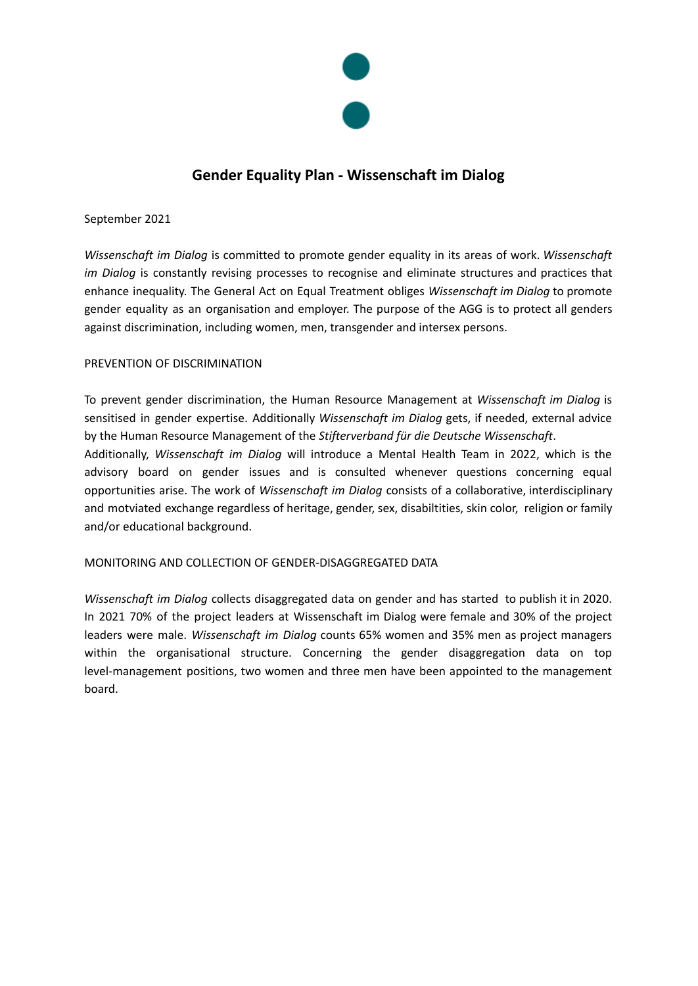

# **Gender Equality Plan - Wissenschaft im Dialog**

#### September 2021

*Wissenschaft im Dialog* is committed to promote gender equality in its areas of work. *Wissenschaft im Dialog* is constantly revising processes to recognise and eliminate structures and practices that enhance inequality. The General Act on Equal Treatment obliges *Wissenschaft im Dialog* to promote gender equality as an organisation and employer. The purpose of the AGG is to protect all genders against discrimination, including women, men, transgender and intersex persons.

#### PREVENTION OF DISCRIMINATION

To prevent gender discrimination, the Human Resource Management at *Wissenschaft im Dialog* is sensitised in gender expertise. Additionally *Wissenschaft im Dialog* gets, if needed, external advice by the Human Resource Management of the *Stifterverband für die Deutsche Wissenschaft*.

Additionally, *Wissenschaft im Dialog* will introduce a Mental Health Team in 2022, which is the advisory board on gender issues and is consulted whenever questions concerning equal opportunities arise. The work of *Wissenschaft im Dialog* consists of a collaborative, interdisciplinary and motviated exchange regardless of heritage, gender, sex, disabiltities, skin color, religion or family and/or educational background.

#### MONITORING AND COLLECTION OF GENDER-DISAGGREGATED DATA

*Wissenschaft im Dialog* collects disaggregated data on gender and has started to publish it in 2020. In 2021 70% of the project leaders at Wissenschaft im Dialog were female and 30% of the project leaders were male. *Wissenschaft im Dialog* counts 65% women and 35% men as project managers within the organisational structure. Concerning the gender disaggregation data on top level-management positions, two women and three men have been appointed to the management board.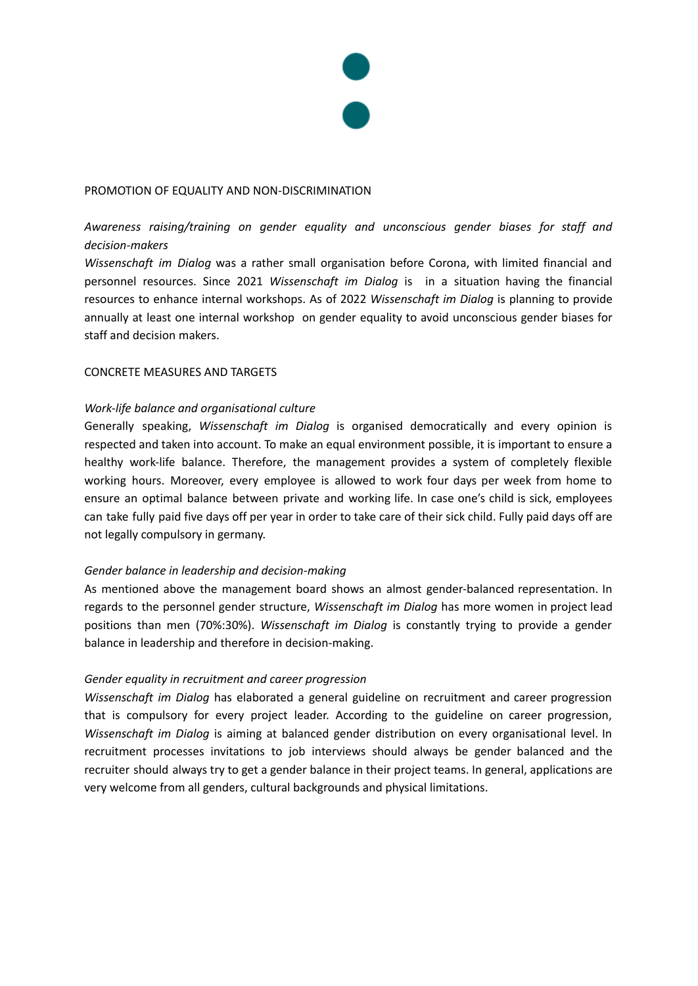

#### PROMOTION OF EQUALITY AND NON-DISCRIMINATION

## *Awareness raising/training on gender equality and unconscious gender biases for staff and decision-makers*

*Wissenschaft im Dialog* was a rather small organisation before Corona, with limited financial and personnel resources. Since 2021 *Wissenschaft im Dialog* is in a situation having the financial resources to enhance internal workshops. As of 2022 *Wissenschaft im Dialog* is planning to provide annually at least one internal workshop on gender equality to avoid unconscious gender biases for staff and decision makers.

#### CONCRETE MEASURES AND TARGETS

#### *Work-life balance and organisational culture*

Generally speaking, *Wissenschaft im Dialog* is organised democratically and every opinion is respected and taken into account. To make an equal environment possible, it is important to ensure a healthy work-life balance. Therefore, the management provides a system of completely flexible working hours. Moreover, every employee is allowed to work four days per week from home to ensure an optimal balance between private and working life. In case one's child is sick, employees can take fully paid five days off per year in order to take care of their sick child. Fully paid days off are not legally compulsory in germany.

#### *Gender balance in leadership and decision-making*

As mentioned above the management board shows an almost gender-balanced representation. In regards to the personnel gender structure, *Wissenschaft im Dialog* has more women in project lead positions than men (70%:30%). *Wissenschaft im Dialog* is constantly trying to provide a gender balance in leadership and therefore in decision-making.

#### *Gender equality in recruitment and career progression*

*Wissenschaft im Dialog* has elaborated a general guideline on recruitment and career progression that is compulsory for every project leader. According to the guideline on career progression, *Wissenschaft im Dialog* is aiming at balanced gender distribution on every organisational level. In recruitment processes invitations to job interviews should always be gender balanced and the recruiter should always try to get a gender balance in their project teams. In general, applications are very welcome from all genders, cultural backgrounds and physical limitations.